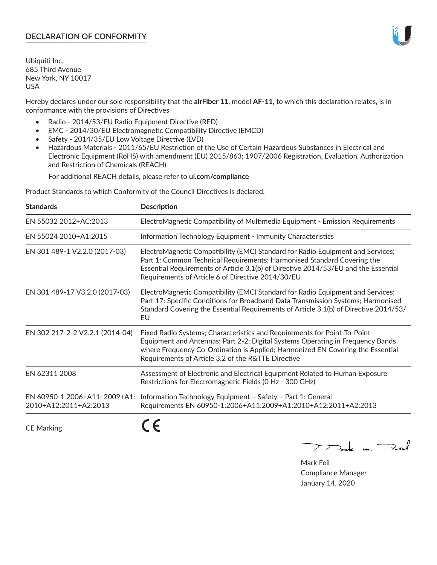## **DECLARATION OF CONFORMITY**

Ubiquiti Inc. 685 Third Avenue New York, NY 10017 USA

Hereby declares under our sole responsibility that the **airFiber 11**, model **AF-11**, to which this declaration relates, is in conformance with the provisions of Directives

- Radio 2014/53/EU Radio Equipment Directive (RED)
- EMC 2014/30/EU Electromagnetic Compatibility Directive (EMCD)
- Safety 2014/35/EU Low Voltage Directive (LVD)
- Hazardous Materials 2011/65/EU Restriction of the Use of Certain Hazardous Substances in Electrical and Electronic Equipment (RoHS) with amendment (EU) 2015/863; 1907/2006 Registration, Evaluation, Authorization and Restriction of Chemicals (REACH)

For additional REACH details, please refer to **ui.com/compliance**

Product Standards to which Conformity of the Council Directives is declared:

| <b>Standards</b>                                       | <b>Description</b>                                                                                                                                                                                                                                                                                   |
|--------------------------------------------------------|------------------------------------------------------------------------------------------------------------------------------------------------------------------------------------------------------------------------------------------------------------------------------------------------------|
| EN 55032 2012+AC:2013                                  | ElectroMagnetic Compatibility of Multimedia Equipment - Emission Requirements                                                                                                                                                                                                                        |
| EN 55024 2010+A1:2015                                  | Information Technology Equipment - Immunity Characteristics                                                                                                                                                                                                                                          |
| EN 301 489-1 V2.2.0 (2017-03)                          | ElectroMagnetic Compatibility (EMC) Standard for Radio Equipment and Services;<br>Part 1: Common Technical Requirements; Harmonised Standard Covering the<br>Essential Requirements of Article 3.1(b) of Directive 2014/53/EU and the Essential<br>Requirements of Article 6 of Directive 2014/30/EU |
| EN 301 489-17 V3.2.0 (2017-03)                         | ElectroMagnetic Compatibility (EMC) Standard for Radio Equipment and Services;<br>Part 17: Specific Conditions for Broadband Data Transmission Systems; Harmonised<br>Standard Covering the Essential Requirements of Article 3.1(b) of Directive 2014/53/<br>EU                                     |
| EN 302 217-2-2 V2.2.1 (2014-04)                        | Fixed Radio Systems; Characteristics and Requirements for Point-To-Point<br>Equipment and Antennas; Part 2-2: Digital Systems Operating in Frequency Bands<br>where Frequency Co-Ordination is Applied; Harmonized EN Covering the Essential<br>Requirements of Article 3.2 of the R&TTE Directive   |
| EN 62311 2008                                          | Assessment of Electronic and Electrical Equipment Related to Human Exposure<br>Restrictions for Electromagnetic Fields (0 Hz - 300 GHz)                                                                                                                                                              |
| EN 60950-1 2006+A11: 2009+A1:<br>2010+A12:2011+A2:2013 | Information Technology Equipment - Safety - Part 1: General<br>Requirements EN 60950-1:2006+A11:2009+A1:2010+A12:2011+A2:2013                                                                                                                                                                        |
|                                                        |                                                                                                                                                                                                                                                                                                      |

CE Marking

くと

Mak m. Fail

Mark Feil Compliance Manager January 14, 2020

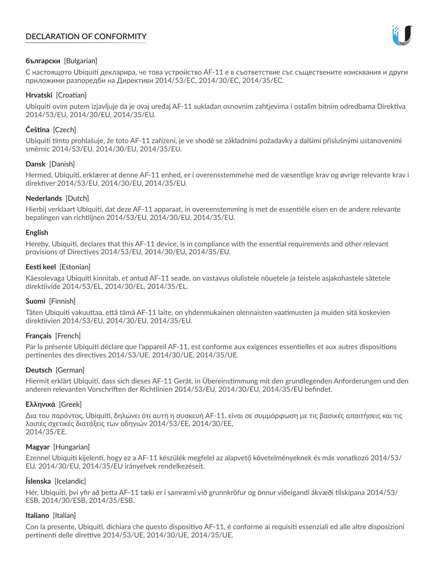# **DECLARATION OF CONFORMITY**



## **български** [Bulgarian]

С настоящото Ubiquiti декларира, че това устройство AF-11 е в съответствие със съществените изисквания и други приложими разпоредби на Директиви 2014/53/EC, 2014/30/ЕС, 2014/35/ЕС.

## **Hrvatski** [Croatian]

Ubiquiti ovim putem izjavljuje da je ovaj uređaj AF-11 sukladan osnovnim zahtjevima i ostalim bitnim odredbama Direktiva 2014/53/EU, 2014/30/EU, 2014/35/EU.

## **Čeština** [Czech]

Ubiquiti tímto prohlašuje, že toto AF-11 zařízení, je ve shodě se základními požadavky a dalšími příslušnými ustanoveními směrnic 2014/53/EU, 2014/30/EU, 2014/35/EU.

## **Dansk** [Danish]

Hermed, Ubiquiti, erklærer at denne AF-11 enhed, er i overensstemmelse med de væsentlige krav og øvrige relevante krav i direktiver 2014/53/EU, 2014/30/EU, 2014/35/EU.

## **Nederlands** [Dutch]

Hierbij verklaart Ubiquiti, dat deze AF-11 apparaat, in overeenstemming is met de essentiële eisen en de andere relevante bepalingen van richtlijnen 2014/53/EU, 2014/30/EU, 2014/35/EU.

## **English**

Hereby, Ubiquiti, declares that this AF-11 device, is in compliance with the essential requirements and other relevant provisions of Directives 2014/53/EU, 2014/30/EU, 2014/35/EU.

## **Eesti keel** [Estonian]

Käesolevaga Ubiquiti kinnitab, et antud AF-11 seade, on vastavus olulistele nõuetele ja teistele asjakohastele sätetele direktiivide 2014/53/EL, 2014/30/EL, 2014/35/EL.

## **Suomi** [Finnish]

Täten Ubiquiti vakuuttaa, että tämä AF-11 laite, on yhdenmukainen olennaisten vaatimusten ja muiden sitä koskevien direktiivien 2014/53/EU, 2014/30/EU, 2014/35/EU.

## **Français** [French]

Par la présente Ubiquiti déclare que l'appareil AF-11, est conforme aux exigences essentielles et aux autres dispositions pertinentes des directives 2014/53/UE, 2014/30/UE, 2014/35/UE.

## **Deutsch** [German]

Hiermit erklärt Ubiquiti, dass sich dieses AF-11 Gerät, in Übereinstimmung mit den grundlegenden Anforderungen und den anderen relevanten Vorschriften der Richtlinien 2014/53/EU, 2014/30/EU, 2014/35/EU befindet.

## **Ελληνικά** [Greek]

Δια του παρόντος, Ubiquiti, δηλώνει ότι αυτή η συσκευή AF-11, είναι σε συμμόρφωση με τις βασικές απαιτήσεις και τις λοιπές σχετικές διατάξεις των οδηγιών 2014/53/EE, 2014/30/EE, 2014/35/EE.

## **Magyar** [Hungarian]

Ezennel Ubiquiti kijelenti, hogy ez a AF-11 készülék megfelel az alapvető követelményeknek és más vonatkozó 2014/53/ EU, 2014/30/EU, 2014/35/EU irányelvek rendelkezéseit.

## **Íslenska** [Icelandic]

Hér, Ubiquiti, því yfir að þetta AF-11 tæki er í samræmi við grunnkröfur og önnur viðeigandi ákvæði tilskipana 2014/53/ ESB, 2014/30/ESB, 2014/35/ESB.

## **Italiano** [Italian]

Con la presente, Ubiquiti, dichiara che questo dispositivo AF-11, è conforme ai requisiti essenziali ed alle altre disposizioni pertinenti delle direttive 2014/53/UE, 2014/30/UE, 2014/35/UE.